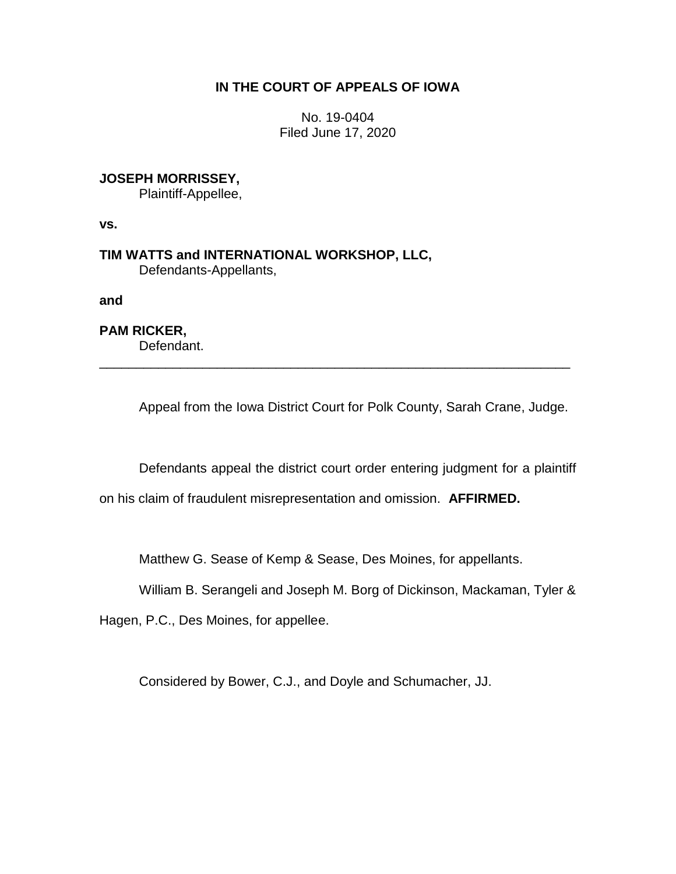## **IN THE COURT OF APPEALS OF IOWA**

No. 19-0404 Filed June 17, 2020

## **JOSEPH MORRISSEY,**

Plaintiff-Appellee,

**vs.**

**TIM WATTS and INTERNATIONAL WORKSHOP, LLC,** Defendants-Appellants,

**and**

**PAM RICKER,** Defendant.

Appeal from the Iowa District Court for Polk County, Sarah Crane, Judge.

\_\_\_\_\_\_\_\_\_\_\_\_\_\_\_\_\_\_\_\_\_\_\_\_\_\_\_\_\_\_\_\_\_\_\_\_\_\_\_\_\_\_\_\_\_\_\_\_\_\_\_\_\_\_\_\_\_\_\_\_\_\_\_\_

Defendants appeal the district court order entering judgment for a plaintiff

on his claim of fraudulent misrepresentation and omission. **AFFIRMED.**

Matthew G. Sease of Kemp & Sease, Des Moines, for appellants.

William B. Serangeli and Joseph M. Borg of Dickinson, Mackaman, Tyler &

Hagen, P.C., Des Moines, for appellee.

Considered by Bower, C.J., and Doyle and Schumacher, JJ.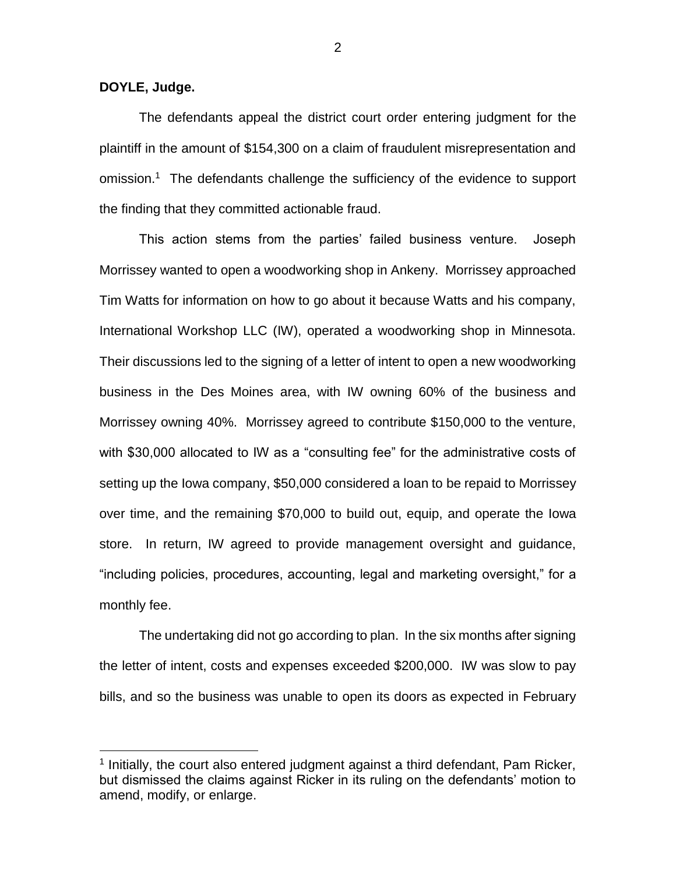**DOYLE, Judge.**

 $\overline{a}$ 

The defendants appeal the district court order entering judgment for the plaintiff in the amount of \$154,300 on a claim of fraudulent misrepresentation and omission.<sup>1</sup> The defendants challenge the sufficiency of the evidence to support the finding that they committed actionable fraud.

This action stems from the parties' failed business venture. Joseph Morrissey wanted to open a woodworking shop in Ankeny. Morrissey approached Tim Watts for information on how to go about it because Watts and his company, International Workshop LLC (IW), operated a woodworking shop in Minnesota. Their discussions led to the signing of a letter of intent to open a new woodworking business in the Des Moines area, with IW owning 60% of the business and Morrissey owning 40%. Morrissey agreed to contribute \$150,000 to the venture, with \$30,000 allocated to IW as a "consulting fee" for the administrative costs of setting up the Iowa company, \$50,000 considered a loan to be repaid to Morrissey over time, and the remaining \$70,000 to build out, equip, and operate the Iowa store. In return, IW agreed to provide management oversight and guidance, "including policies, procedures, accounting, legal and marketing oversight," for a monthly fee.

The undertaking did not go according to plan. In the six months after signing the letter of intent, costs and expenses exceeded \$200,000. IW was slow to pay bills, and so the business was unable to open its doors as expected in February

<sup>&</sup>lt;sup>1</sup> Initially, the court also entered judgment against a third defendant, Pam Ricker, but dismissed the claims against Ricker in its ruling on the defendants' motion to amend, modify, or enlarge.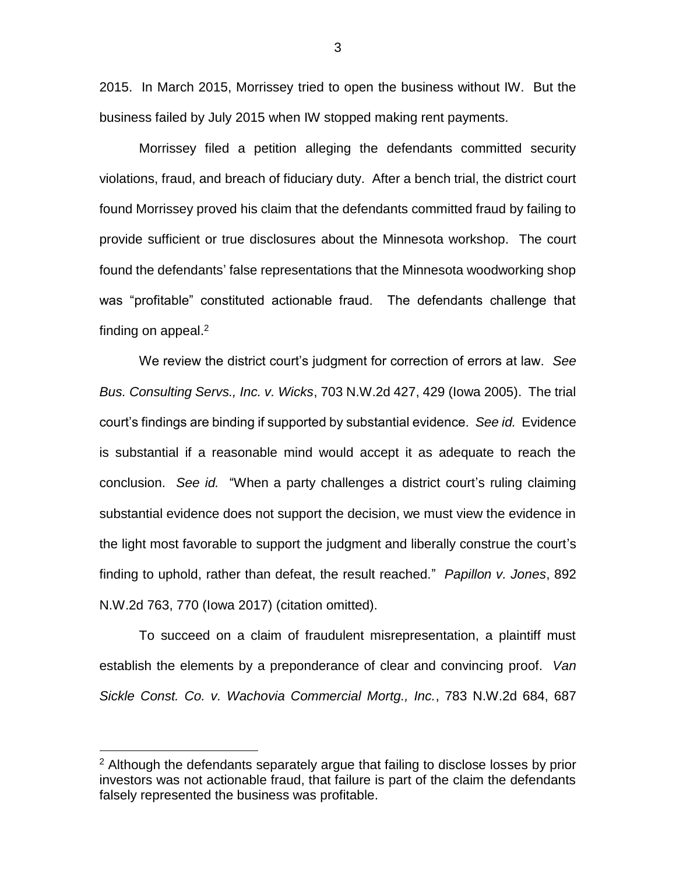2015. In March 2015, Morrissey tried to open the business without IW. But the business failed by July 2015 when IW stopped making rent payments.

Morrissey filed a petition alleging the defendants committed security violations, fraud, and breach of fiduciary duty. After a bench trial, the district court found Morrissey proved his claim that the defendants committed fraud by failing to provide sufficient or true disclosures about the Minnesota workshop. The court found the defendants' false representations that the Minnesota woodworking shop was "profitable" constituted actionable fraud. The defendants challenge that finding on appeal. $2$ 

We review the district court's judgment for correction of errors at law. *See Bus. Consulting Servs., Inc. v. Wicks*, 703 N.W.2d 427, 429 (Iowa 2005). The trial court's findings are binding if supported by substantial evidence. *See id.* Evidence is substantial if a reasonable mind would accept it as adequate to reach the conclusion. *See id.* "When a party challenges a district court's ruling claiming substantial evidence does not support the decision, we must view the evidence in the light most favorable to support the judgment and liberally construe the court's finding to uphold, rather than defeat, the result reached." *Papillon v. Jones*, 892 N.W.2d 763, 770 (Iowa 2017) (citation omitted).

To succeed on a claim of fraudulent misrepresentation, a plaintiff must establish the elements by a preponderance of clear and convincing proof. *Van Sickle Const. Co. v. Wachovia Commercial Mortg., Inc.*, 783 N.W.2d 684, 687

 $\overline{a}$ 

3

 $2$  Although the defendants separately argue that failing to disclose losses by prior investors was not actionable fraud, that failure is part of the claim the defendants falsely represented the business was profitable.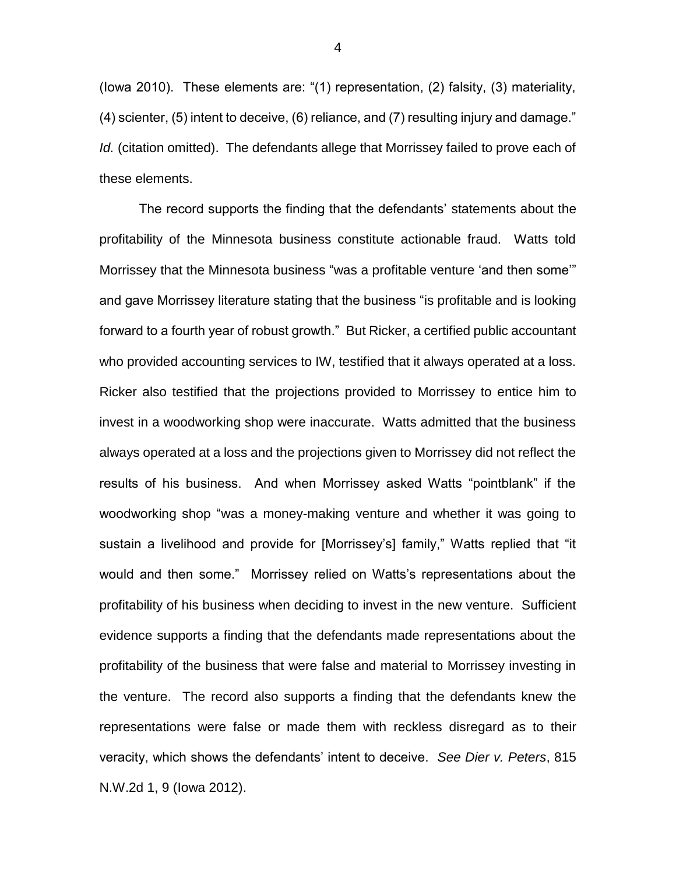(Iowa 2010). These elements are: "(1) representation, (2) falsity, (3) materiality, (4) scienter, (5) intent to deceive, (6) reliance, and (7) resulting injury and damage." *Id.* (citation omitted). The defendants allege that Morrissey failed to prove each of these elements.

The record supports the finding that the defendants' statements about the profitability of the Minnesota business constitute actionable fraud. Watts told Morrissey that the Minnesota business "was a profitable venture 'and then some'" and gave Morrissey literature stating that the business "is profitable and is looking forward to a fourth year of robust growth." But Ricker, a certified public accountant who provided accounting services to IW, testified that it always operated at a loss. Ricker also testified that the projections provided to Morrissey to entice him to invest in a woodworking shop were inaccurate. Watts admitted that the business always operated at a loss and the projections given to Morrissey did not reflect the results of his business. And when Morrissey asked Watts "pointblank" if the woodworking shop "was a money-making venture and whether it was going to sustain a livelihood and provide for [Morrissey's] family," Watts replied that "it would and then some." Morrissey relied on Watts's representations about the profitability of his business when deciding to invest in the new venture. Sufficient evidence supports a finding that the defendants made representations about the profitability of the business that were false and material to Morrissey investing in the venture. The record also supports a finding that the defendants knew the representations were false or made them with reckless disregard as to their veracity, which shows the defendants' intent to deceive. *See Dier v. Peters*, 815 N.W.2d 1, 9 (Iowa 2012).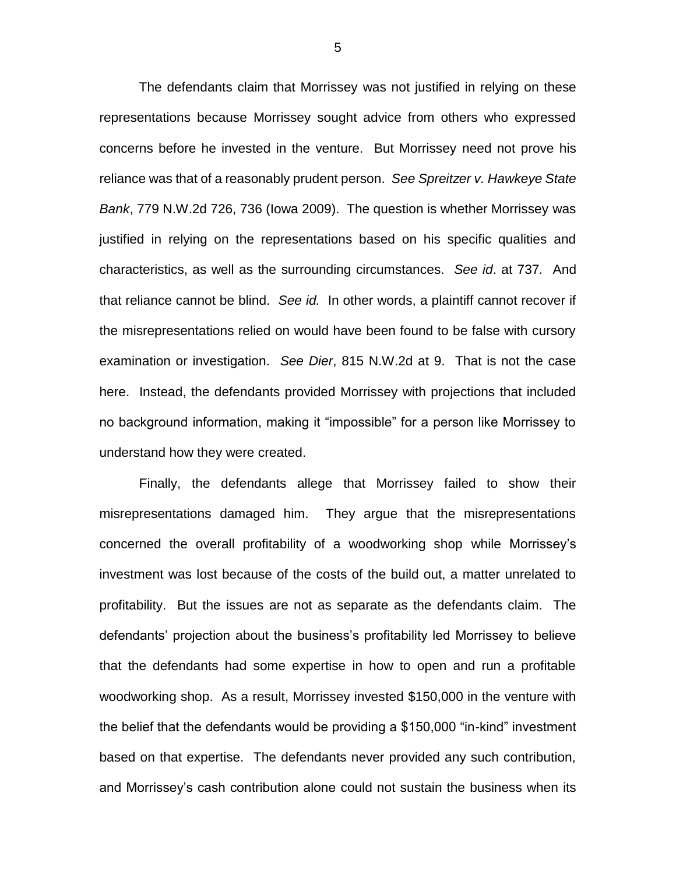The defendants claim that Morrissey was not justified in relying on these representations because Morrissey sought advice from others who expressed concerns before he invested in the venture. But Morrissey need not prove his reliance was that of a reasonably prudent person. *See Spreitzer v. Hawkeye State Bank*, 779 N.W.2d 726, 736 (Iowa 2009). The question is whether Morrissey was justified in relying on the representations based on his specific qualities and characteristics, as well as the surrounding circumstances. *See id*. at 737*.* And that reliance cannot be blind. *See id.* In other words, a plaintiff cannot recover if the misrepresentations relied on would have been found to be false with cursory examination or investigation. *See Dier*, 815 N.W.2d at 9. That is not the case here. Instead, the defendants provided Morrissey with projections that included no background information, making it "impossible" for a person like Morrissey to understand how they were created.

Finally, the defendants allege that Morrissey failed to show their misrepresentations damaged him. They argue that the misrepresentations concerned the overall profitability of a woodworking shop while Morrissey's investment was lost because of the costs of the build out, a matter unrelated to profitability. But the issues are not as separate as the defendants claim. The defendants' projection about the business's profitability led Morrissey to believe that the defendants had some expertise in how to open and run a profitable woodworking shop. As a result, Morrissey invested \$150,000 in the venture with the belief that the defendants would be providing a \$150,000 "in-kind" investment based on that expertise. The defendants never provided any such contribution, and Morrissey's cash contribution alone could not sustain the business when its